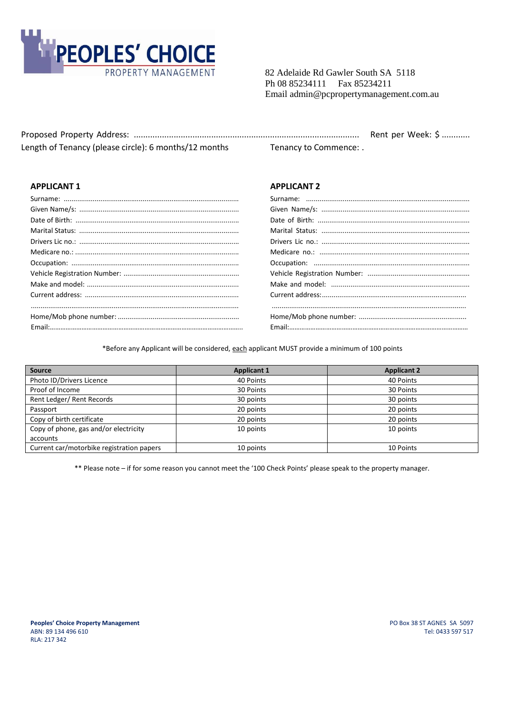

82 Adelaide Rd Gawler South SA 5118 Ph 08 85234111 Fax 85234211 Email admin@pcpropertymanagement.com.au

|                                                       |                        | Rent per Week: \$ |
|-------------------------------------------------------|------------------------|-------------------|
| Length of Tenancy (please circle): 6 months/12 months | Tenancy to Commence: . |                   |

## **APPLICANT 1 APPLICANT 2**

#### \*Before any Applicant will be considered, each applicant MUST provide a minimum of 100 points

| <b>Source</b>                             | <b>Applicant 1</b> | <b>Applicant 2</b> |
|-------------------------------------------|--------------------|--------------------|
| Photo ID/Drivers Licence                  | 40 Points          | 40 Points          |
| Proof of Income                           | 30 Points          | 30 Points          |
| Rent Ledger/ Rent Records                 | 30 points          | 30 points          |
| Passport                                  | 20 points          | 20 points          |
| Copy of birth certificate                 | 20 points          | 20 points          |
| Copy of phone, gas and/or electricity     | 10 points          | 10 points          |
| accounts                                  |                    |                    |
| Current car/motorbike registration papers | 10 points          | 10 Points          |

\*\* Please note – if for some reason you cannot meet the '100 Check Points' please speak to the property manager.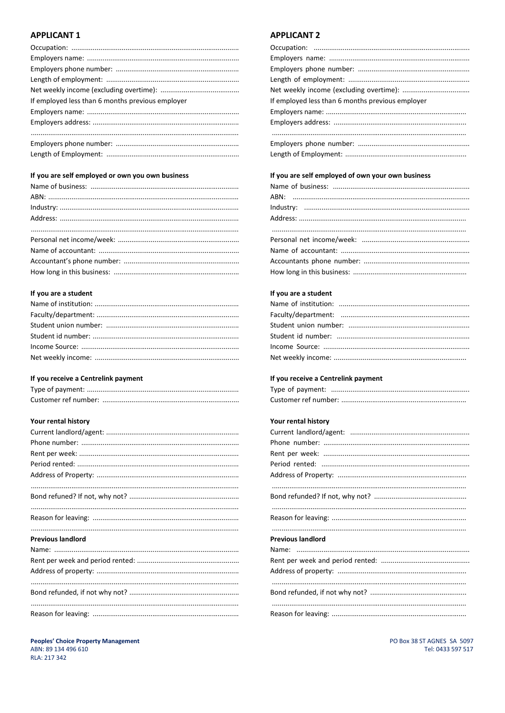# **APPLICANT 1**

| If employed less than 6 months previous employer |
|--------------------------------------------------|
|                                                  |
|                                                  |
|                                                  |
|                                                  |
|                                                  |

#### If you are self employed or own you own business

## If you are a student

### If you receive a Centrelink payment

# **Your rental history**

| <b>Previous landlord</b> |
|--------------------------|
|                          |
|                          |
|                          |
|                          |
|                          |

## **APPLICANT 2**

| If employed less than 6 months previous employer |
|--------------------------------------------------|
|                                                  |
|                                                  |
|                                                  |
|                                                  |
|                                                  |

# If you are self employed of own your own business

# If you are a student

### If you receive a Centrelink payment

# Your rental history

| <b>Previous landlord</b> |
|--------------------------|
|                          |
|                          |
|                          |
|                          |
|                          |
|                          |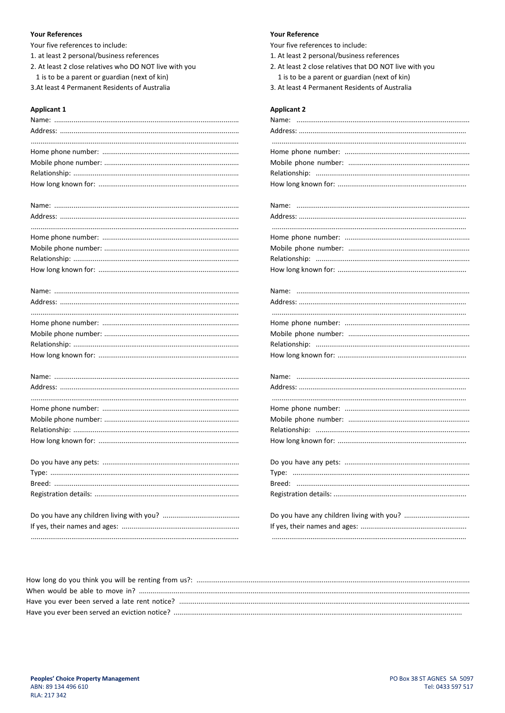#### **Your References**

Your five references to include:

- 1. at least 2 personal/business references
- 2. At least 2 close relatives who DO NOT live with you
- 1 is to be a parent or guardian (next of kin)

3.At least 4 Permanent Residents of Australia

#### **Applicant 1**

# Name: and the contract of the contract of the contract of the contract of the contract of the contract of the contract of the contract of the contract of the contract of the contract of the contract of the contract of the

#### **Your Reference**

Your five references to include:

- 1. At least 2 personal/business references
- 2. At least 2 close relatives that DO NOT live with you
	- 1 is to be a parent or guardian (next of kin)
- 3. At least 4 Permanent Residents of Australia

#### **Applicant 2**

| Name:  |
|--------|
|        |
|        |
|        |
|        |
|        |
|        |
|        |
|        |
|        |
|        |
|        |
|        |
|        |
|        |
|        |
| Name:  |
|        |
|        |
|        |
|        |
|        |
|        |
|        |
|        |
|        |
|        |
|        |
|        |
|        |
|        |
|        |
|        |
| Type:  |
| Breed: |
|        |
|        |
|        |
|        |
|        |